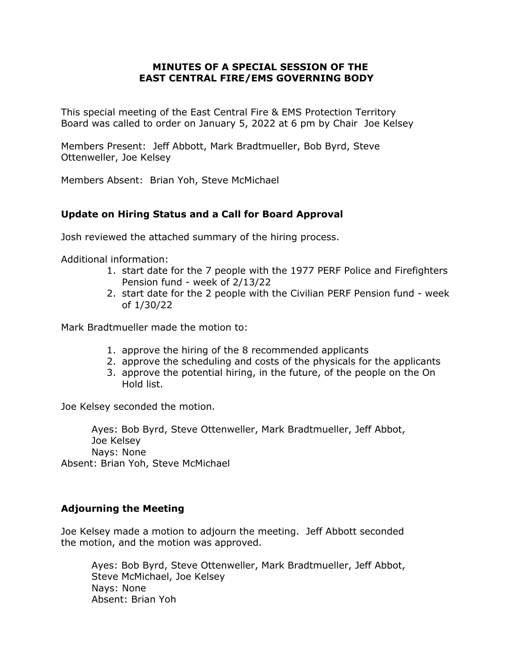## **MINUTES OF A SPECIAL SESSION OF THE EAST CENTRAL FIRE/EMS GOVERNING BODY**

This special meeting of the East Central Fire & EMS Protection Territory Board was called to order on January 5, 2022 at 6 pm by Chair Joe Kelsey

Members Present: Jeff Abbott, Mark Bradtmueller, Bob Byrd, Steve Ottenweller, Joe Kelsey

Members Absent: Brian Yoh, Steve McMichael

## **Update on Hiring Status and a Call for Board Approval**

Josh reviewed the attached summary of the hiring process.

Additional information:

- 1. start date for the 7 people with the 1977 PERF Police and Firefighters Pension fund - week of 2/13/22
- 2. start date for the 2 people with the Civilian PERF Pension fund week of 1/30/22

Mark Bradtmueller made the motion to:

- 1. approve the hiring of the 8 recommended applicants
- 2. approve the scheduling and costs of the physicals for the applicants
- 3. approve the potential hiring, in the future, of the people on the On Hold list.

Joe Kelsey seconded the motion.

Ayes: Bob Byrd, Steve Ottenweller, Mark Bradtmueller, Jeff Abbot, Joe Kelsey Nays: None Absent: Brian Yoh, Steve McMichael

## **Adjourning the Meeting**

Joe Kelsey made a motion to adjourn the meeting. Jeff Abbott seconded the motion, and the motion was approved.

Ayes: Bob Byrd, Steve Ottenweller, Mark Bradtmueller, Jeff Abbot, Steve McMichael, Joe Kelsey Nays: None Absent: Brian Yoh